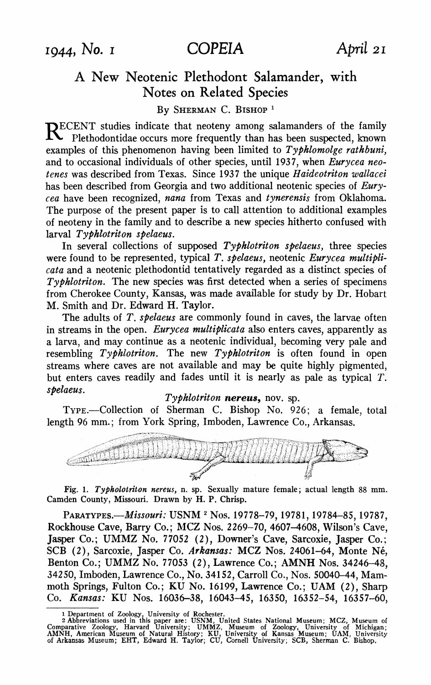# **A New Neotenic Plethodont Salamander, with Notes on Related Species**

## **By SHERMAN C. BISHOP <sup>1</sup>**

**RECENT studies indicate that neoteny among salamanders of the family Plethodontidae occurs more frequently than has been suspected, known examples of this phenomenon having been limited to Typhlomolge rathbuni, and to occasional individuals of other species, until 1937, when Eurycea neotenes was described from Texas. Since 1937 the unique Haideotriton wallacei has been described from Georgia and two additional neotenic species of Eurycea have been recognized, nana from Texas and tynerensis from Oklahoma. The purpose of the present paper is to call attention to additional examples of neoteny in the family and to describe a new species hitherto confused with larval Typhlotriton spelaeus.** 

**In several collections of supposed Typhlotriton spelaeus, three species**  were found to be represented, typical T. spelaeus, neotenic Eurycea multipli**cata and a neotenic plethodontid tentatively regarded as a distinct species of Typhlotriton. The new species was first detected when a series of specimens from Cherokee County, Kansas, was made available for study by Dr. Hobart M. Smith and Dr. Edward H. Taylor.** 

**The adults of T. spelaeus are commonly found in caves, the larvae often in streams in the open. Eurycea multiplicata also enters caves, apparently as a larva, and may continue as a neotenic individual, becoming very pale and resembling Typhlotriton. The new Typhlotriton is often found in open streams where caves are not available and may be quite highly pigmented,**  but enters caves readily and fades until it is nearly as pale as typical *T*. *spelaeus*.

### Typhlotriton nereus, nov. sp.

**TYPE.-Collection of Sherman C. Bishop No. 926; a female, total length 96 mm.; from York Spring, Imboden, Lawrence Co., Arkansas.** 



**Fig. 1. Typholotriton nereus, n. sp. Sexually mature female; actual length 88 mm. Camden County, Missouri. Drawn by H. P. Chrisp.** 

**PARATYPES.-Missouri: USNM <sup>2</sup>Nos. 19778-79, 19781, 19784-85, 19787, Rockhouse Cave, Barry Co.; MCZ Nos. 2269-70, 4607-4608, Wilson's Cave, Jasper Co.; UMMZ No. 77052 (2), Downer's Cave, Sarcoxie, Jasper Co.; SCB (2), Sarcoxie, Jasper Co. Arkansas: MCZ Nos. 24061-64, Monte Ne, Benton Co.; UMMZ No. 77053 (2), Lawrence Co.; AMNH Nos. 34246-48, 34250, Imboden, Lawrence Co., No. 34152, Carroll Co., Nos. 50040-44, Mammoth Springs, Fulton Co.; KU No. 16199, Lawrence Co.; UAM (2), Sharp Co. Kansas: KU Nos. 16036-38, 16043-45, 16350, 16352-54, 16357-60,** 

<sup>1</sup> Department of Zoology, University of Rochester.<br>
2 Abbreviations used in this paper are: USNM, United States National Museum; MCZ, Museum of<br>
Comparative Zoology, Harvard University; UMMZ, Museum of Zoology, University o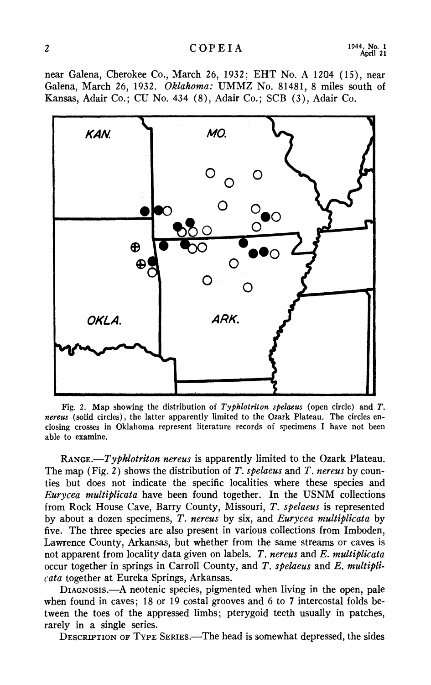#### **2 C OP E I A 1944, No. 1**

**near Galena, Cherokee Co., March 26, 1932; EHT No. A 12Q4 (15), near Galena, March 26, 1932. Oklahoma: UMMZ No. 81481, 8 miles south of Kansas, Adair Co.; CU No. 434 (8), Adair Co.; SCB (3), Adair Co.** 



Fig. 2. Map showing the distribution of Typhlotriton spelaeus (open circle) and T. **nereus (solid circles), the latter apparently limited to the Ozark Plateau. The circles enclosing crosses in Oklahoma represent literature records of specimens I have not been able to examine.** 

**RANGE.-Typklotriton nereus is apparently limited to the Ozark Plateau. The map (Fig. 2) shows the distribution of T. spelaeus and T. nereus by counties but does not indicate the specific localities where these species and Eurycea multiplicata have been found together. In the USNM collections from Rock House Cave, Barry County, Missouri, T. spelaeus is represented by about a dozen specimens, T. nereus by six, and Eurycea multiplicata by five. The three species are also present in various collections from Imboden, Lawrence County, Arkansas, but whether from the same streams or caves is not apparent from locality data given on labels. T. nereus and E. multiplicata occur together in springs in Carroll County, and T. spelaeus and E. multiplicata together at Eureka Springs, Arkansas.** 

**DIAGNOSIS.-A neotenic species, pigmented when living in the open, pale when found in caves; 18 or 19 costal grooves and 6 to 7 intercostal folds between the toes of the appressed limbs; pterygoid teeth usually in patches, rarely in a single series.** 

**DESCRIPTION OF TYPE SERIES.-The head is somewhat depressed, the sides**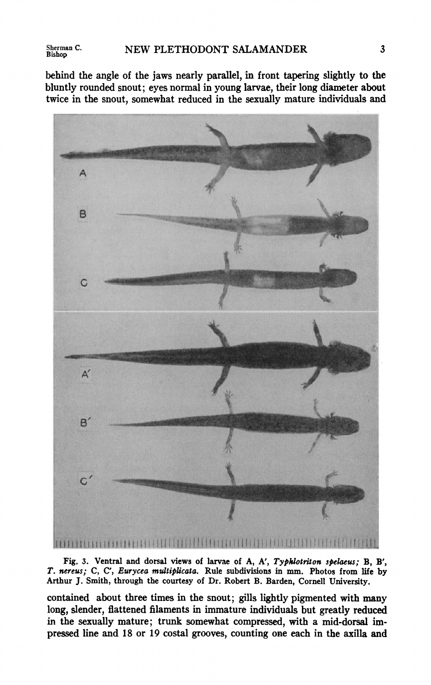**Sherman C.** 

**behind the angle of the jaws nearly parallel, in front tapering slightly to the bluntly rounded snout; eyes normal in young larvae, their long diameter about twice in the snout, somewhat reduced in the sexually mature individuals and** 



Fig. 3. Ventral and dorsal views of larvae of A, A', Typhlotriton spelaeus; B, B', **T. nereus; C, C', Eurycea multiplicata. Rule subdivisions in mm. Photos from life by Arthur J. Smith, through the courtesy of Dr. Robert B. Barden, Cornell University.** 

**contained about three times in the snout; gills lightly pigmented with many long, slender, flattened filaments in immature individuals but greatly reduced in the sexually mature; trunk somewhat compressed, with a mid-dorsal impressed line and 18 or 19 costal grooves, counting one each in the axilla and**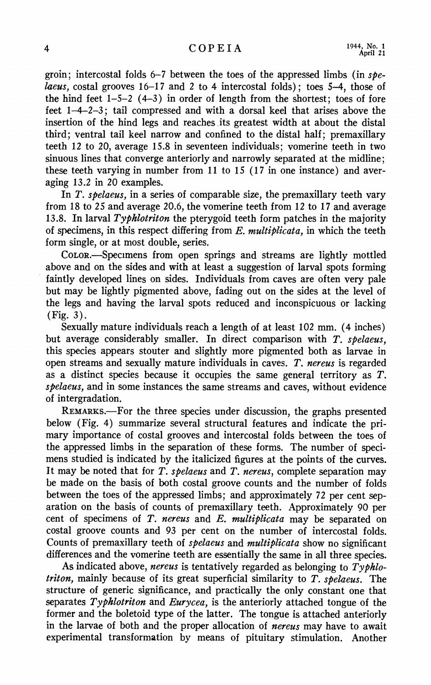**groin; intercostal folds 6-7 between the toes of the appressed limbs (in spelaeus, costal grooves 16-17 and 2 to 4 intercostal folds); toes 5-4, those of the hind feet 1-5-2 (4-3) in order of length from the shortest; toes of fore feet 1-4-2-3; tail compressed and with a dorsal keel that arises above the insertion of the hind legs and reaches its greatest width at about the distal third; ventral tail keel narrow and confined to the distal half; premaxillary teeth 12 to 20, average 15.8 in seventeen individuals; vomerine teeth in two sinuous lines that converge anteriorly and narrowly separated at the midline; these teeth varying in number from 11 to 15 (17 in one instance) and averaging 13.2 in 20 examples.** 

**In T. spelaeus, in a series of comparable size, the premaxillary teeth vary from 18 to 25 and average 20.6, the vomerine teeth from 12 to 17 and average 13.8. In larval Typhlotriton the pterygoid teeth form patches in the majority of specimens, in this respect differing from E. multiplicata, in which the teeth form single, or at most double, series.** 

**COLOR.-Specimens from open springs and streams are lightly mottled above and on the sides and with at least a suggestion of larval spots forming faintly developed lines on sides. Individuals from caves are often very pale but may be lightly pigmented above, fading out on the sides at the level of the legs and having the larval spots reduced and inconspicuous or lacking (Fig. 3).** 

**Sexually mature individuals reach a length of at least 102 mm. (4 inches) but average considerably smaller. In direct comparison with T. spelaeus, this species appears stouter and slightly more pigmented both as larvae in open streams and sexually mature individuals in caves. T. nereus is regarded as a distinct species because it occupies the same general territory as T. spelaeus, and in some instances the same streams and caves, without evidence of intergradation.** 

**REMARKS.-For the three species under discussion, the graphs presented below (Fig. 4) summarize several structural features and indicate the primary importance of costal grooves and intercostal folds between the toes of the appressed limbs in the separation of these forms. The number of specimens studied is indicated by the italicized figures at the points of the curves. It may be noted that for T. spelaeus and T. nereus, complete separation may be made on the basis of both costal groove counts and the number of folds between the toes of the appressed limbs; and approximately 72 per cent separation on the basis of counts of premaxillary teeth. Approximately 90 per cent of specimens of T. nereus and E. multiplicata may be separated on costal groove counts and 93 per cent on the number of intercostal folds. Counts of premaxillary teeth of spelaeus and multiplicata show no significant differences and the vomerine teeth are essentially the same in all three species.** 

**As indicated above, nereus is tentatively regarded as belonging to Typhlotriton, mainly because of its great superficial similarity to T. spelaeus. The structure of generic significance, and practically the only constant one that separates Typhlotriton and Eurycea, is the anteriorly attached tongue of the former and the boletoid type of the latter. The tongue is attached anteriorly in the larvae of both and the proper allocation of nereus may have to await experimental transformation by means of pituitary stimulation. Another**